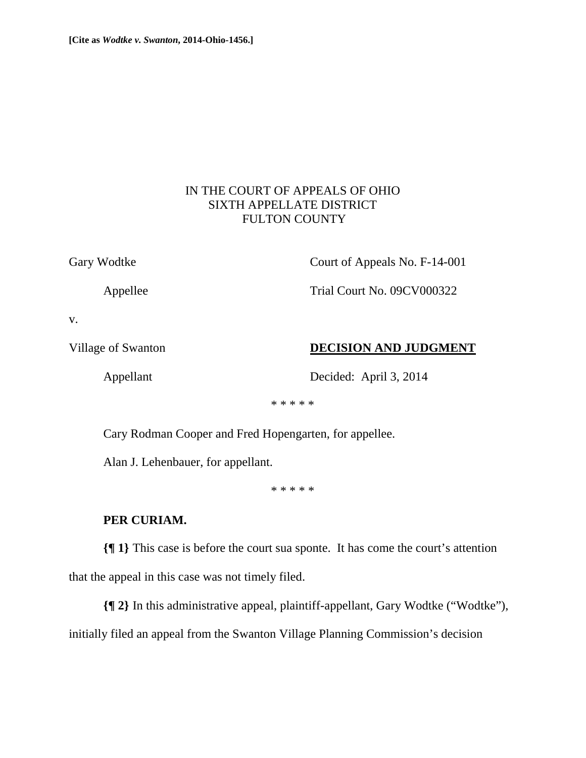## IN THE COURT OF APPEALS OF OHIO SIXTH APPELLATE DISTRICT FULTON COUNTY

Gary Wodtke Court of Appeals No. F-14-001

Appellee Trial Court No. 09CV000322

v.

Village of Swanton **DECISION AND JUDGMENT** 

Appellant Decided: April 3, 2014

\* \* \* \* \*

Cary Rodman Cooper and Fred Hopengarten, for appellee.

Alan J. Lehenbauer, for appellant.

\* \* \* \* \*

## **PER CURIAM.**

**{¶ 1}** This case is before the court sua sponte. It has come the court's attention that the appeal in this case was not timely filed.

**{¶ 2}** In this administrative appeal, plaintiff-appellant, Gary Wodtke ("Wodtke"), initially filed an appeal from the Swanton Village Planning Commission's decision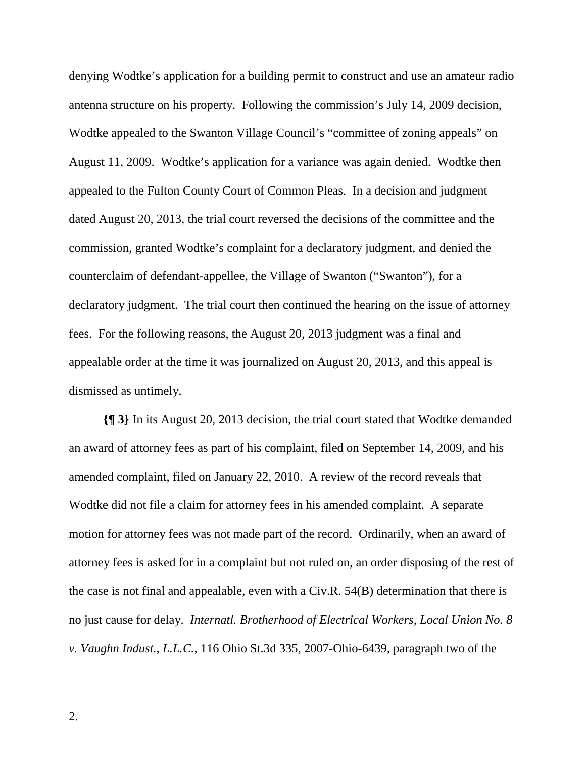denying Wodtke's application for a building permit to construct and use an amateur radio antenna structure on his property. Following the commission's July 14, 2009 decision, Wodtke appealed to the Swanton Village Council's "committee of zoning appeals" on August 11, 2009. Wodtke's application for a variance was again denied. Wodtke then appealed to the Fulton County Court of Common Pleas. In a decision and judgment dated August 20, 2013, the trial court reversed the decisions of the committee and the commission, granted Wodtke's complaint for a declaratory judgment, and denied the counterclaim of defendant-appellee, the Village of Swanton ("Swanton"), for a declaratory judgment. The trial court then continued the hearing on the issue of attorney fees. For the following reasons, the August 20, 2013 judgment was a final and appealable order at the time it was journalized on August 20, 2013, and this appeal is dismissed as untimely.

**{¶ 3}** In its August 20, 2013 decision, the trial court stated that Wodtke demanded an award of attorney fees as part of his complaint, filed on September 14, 2009, and his amended complaint, filed on January 22, 2010. A review of the record reveals that Wodtke did not file a claim for attorney fees in his amended complaint. A separate motion for attorney fees was not made part of the record. Ordinarily, when an award of attorney fees is asked for in a complaint but not ruled on, an order disposing of the rest of the case is not final and appealable, even with a Civ.R. 54(B) determination that there is no just cause for delay. *Internatl. Brotherhood of Electrical Workers, Local Union No. 8 v. Vaughn Indust., L.L.C.*, 116 Ohio St.3d 335, 2007-Ohio-6439, paragraph two of the

2.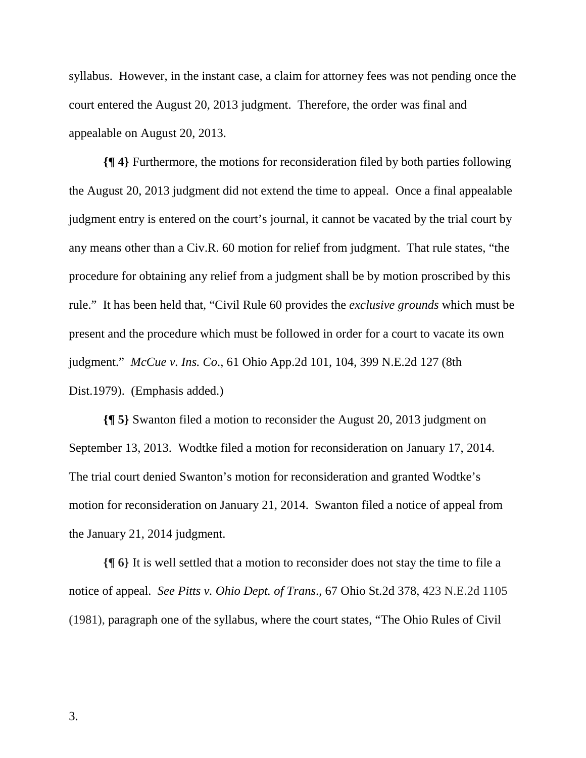syllabus. However, in the instant case, a claim for attorney fees was not pending once the court entered the August 20, 2013 judgment. Therefore, the order was final and appealable on August 20, 2013.

**{¶ 4}** Furthermore, the motions for reconsideration filed by both parties following the August 20, 2013 judgment did not extend the time to appeal. Once a final appealable judgment entry is entered on the court's journal, it cannot be vacated by the trial court by any means other than a Civ.R. 60 motion for relief from judgment. That rule states, "the procedure for obtaining any relief from a judgment shall be by motion proscribed by this rule." It has been held that, "Civil Rule 60 provides the *exclusive grounds* which must be present and the procedure which must be followed in order for a court to vacate its own judgment." *McCue v. Ins. Co*., 61 Ohio App.2d 101, 104, 399 N.E.2d 127 (8th Dist.1979). (Emphasis added.)

**{¶ 5}** Swanton filed a motion to reconsider the August 20, 2013 judgment on September 13, 2013. Wodtke filed a motion for reconsideration on January 17, 2014. The trial court denied Swanton's motion for reconsideration and granted Wodtke's motion for reconsideration on January 21, 2014. Swanton filed a notice of appeal from the January 21, 2014 judgment.

**{¶ 6}** It is well settled that a motion to reconsider does not stay the time to file a notice of appeal. *See Pitts v. Ohio Dept. of Trans*., 67 Ohio St.2d 378, 423 N.E.2d 1105 (1981), paragraph one of the syllabus, where the court states, "The Ohio Rules of Civil

3.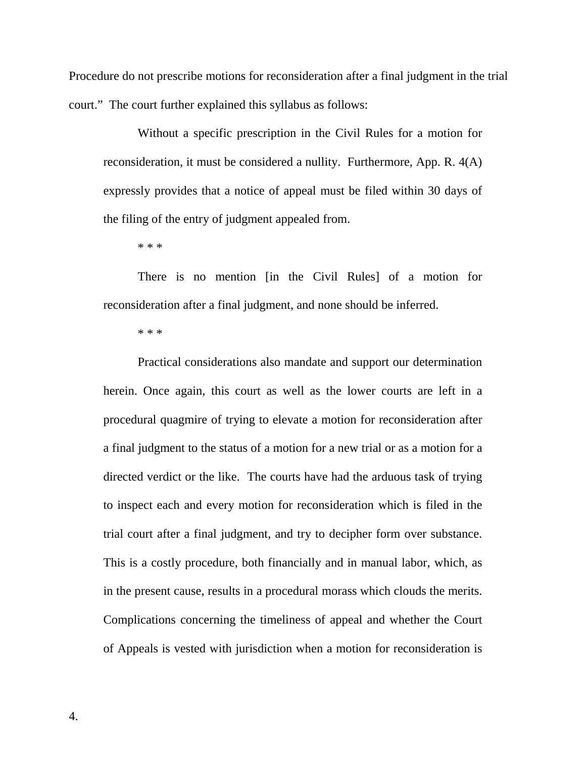Procedure do not prescribe motions for reconsideration after a final judgment in the trial court." The court further explained this syllabus as follows:

Without a specific prescription in the Civil Rules for a motion for reconsideration, it must be considered a nullity. Furthermore, App. R. 4(A) expressly provides that a notice of appeal must be filed within 30 days of the filing of the entry of judgment appealed from.

\* \* \*

There is no mention [in the Civil Rules] of a motion for reconsideration after a final judgment, and none should be inferred.

\* \* \*

Practical considerations also mandate and support our determination herein. Once again, this court as well as the lower courts are left in a procedural quagmire of trying to elevate a motion for reconsideration after a final judgment to the status of a motion for a new trial or as a motion for a directed verdict or the like. The courts have had the arduous task of trying to inspect each and every motion for reconsideration which is filed in the trial court after a final judgment, and try to decipher form over substance. This is a costly procedure, both financially and in manual labor, which, as in the present cause, results in a procedural morass which clouds the merits. Complications concerning the timeliness of appeal and whether the Court of Appeals is vested with jurisdiction when a motion for reconsideration is

4.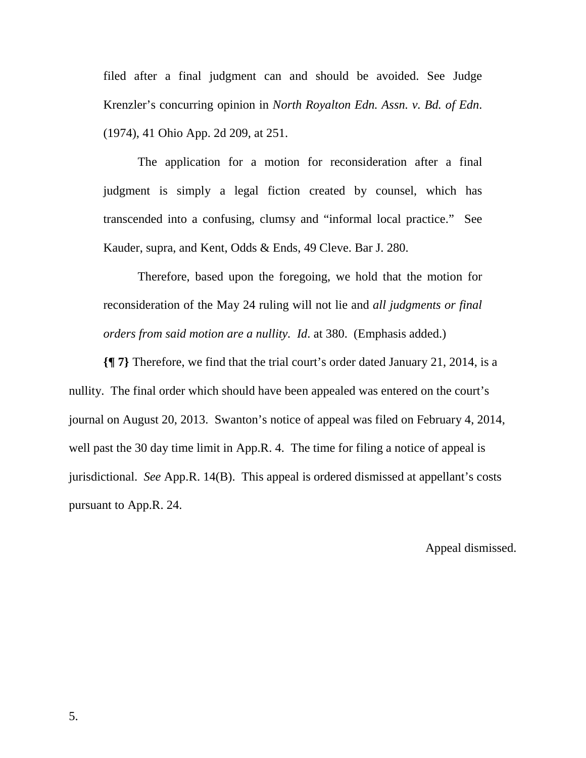filed after a final judgment can and should be avoided. See Judge Krenzler's concurring opinion in *North Royalton Edn. Assn. v. Bd. of Edn*. (1974), 41 Ohio App. 2d 209, at 251.

The application for a motion for reconsideration after a final judgment is simply a legal fiction created by counsel, which has transcended into a confusing, clumsy and "informal local practice." See Kauder, supra, and Kent, Odds & Ends, 49 Cleve. Bar J. 280.

Therefore, based upon the foregoing, we hold that the motion for reconsideration of the May 24 ruling will not lie and *all judgments or final orders from said motion are a nullity. Id*. at 380. (Emphasis added.)

**{¶ 7}** Therefore, we find that the trial court's order dated January 21, 2014, is a nullity. The final order which should have been appealed was entered on the court's journal on August 20, 2013. Swanton's notice of appeal was filed on February 4, 2014, well past the 30 day time limit in App.R. 4. The time for filing a notice of appeal is jurisdictional. *See* App.R. 14(B). This appeal is ordered dismissed at appellant's costs pursuant to App.R. 24.

Appeal dismissed.